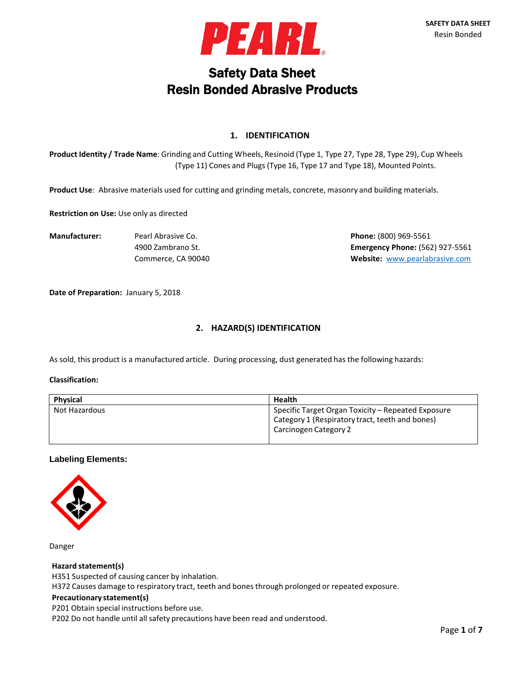

# Safety Data Sheet Resin Bonded Abrasive Products

## **1. IDENTIFICATION**

**Product Identity / Trade Name**: Grinding and Cutting Wheels, Resinoid (Type 1, Type 27, Type 28, Type 29), Cup Wheels (Type 11) Cones and Plugs (Type 16, Type 17 and Type 18), Mounted Points.

**Product Use**: Abrasive materials used for cutting and grinding metals, concrete, masonry and building materials.

**Restriction on Use:** Use only as directed

**Manufacturer:** Pearl Abrasive Co. **Phone:** (800) 969-5561

4900 Zambrano St. **Emergency Phone:** (562) 927-5561 Commerce, CA 90040 **Website:** [www.pearlabrasive.com](http://www.pearlabrasive.com/)

**Date of Preparation:** January 5, 2018

## **2. HAZARD(S) IDENTIFICATION**

As sold, this product is a manufactured article. During processing, dust generated has the following hazards:

#### **Classification:**

| <b>Physical</b> | <b>Health</b>                                                                                                                  |
|-----------------|--------------------------------------------------------------------------------------------------------------------------------|
| Not Hazardous   | Specific Target Organ Toxicity – Repeated Exposure<br>Category 1 (Respiratory tract, teeth and bones)<br>Carcinogen Category 2 |

#### **Labeling Elements:**



Danger

#### **Hazard statement(s)**

H351 Suspected of causing cancer by inhalation.

H372 Causes damage to respiratory tract, teeth and bones through prolonged or repeated exposure.

#### **Precautionary statement(s)**

P201 Obtain special instructions before use.

P202 Do not handle until all safety precautions have been read and understood.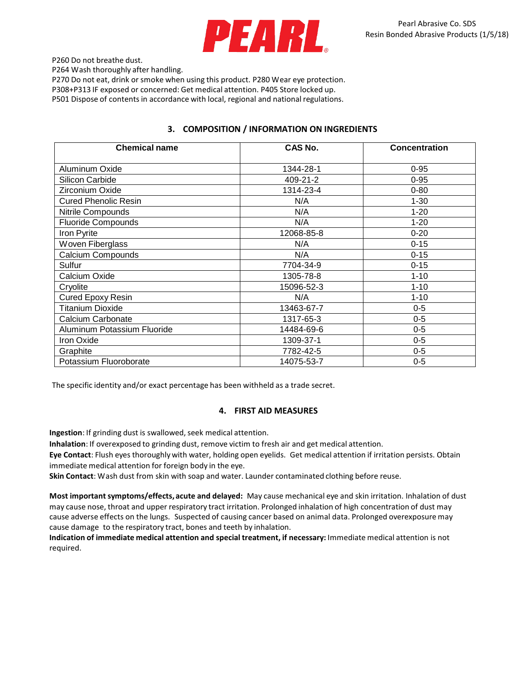

P260 Do not breathe dust.

P264 Wash thoroughly after handling.

P270 Do not eat, drink or smoke when using this product. P280 Wear eye protection. P308+P313 IF exposed or concerned: Get medical attention. P405 Store locked up.

P501 Dispose of contents in accordance with local, regional and national regulations.

## **3. COMPOSITION / INFORMATION ON INGREDIENTS**

| <b>Chemical name</b>        | <b>CAS No.</b> | <b>Concentration</b> |
|-----------------------------|----------------|----------------------|
| Aluminum Oxide              | 1344-28-1      | $0 - 95$             |
| Silicon Carbide             | 409-21-2       | $0 - 95$             |
| Zirconium Oxide             | 1314-23-4      | $0 - 80$             |
| <b>Cured Phenolic Resin</b> | N/A            | $1 - 30$             |
| Nitrile Compounds           | N/A            | $1 - 20$             |
| <b>Fluoride Compounds</b>   | N/A            | $1 - 20$             |
| Iron Pyrite                 | 12068-85-8     | $0 - 20$             |
| Woven Fiberglass            | N/A            | $0 - 15$             |
| <b>Calcium Compounds</b>    | N/A            | $0 - 15$             |
| Sulfur                      | 7704-34-9      | $0 - 15$             |
| Calcium Oxide               | 1305-78-8      | $1 - 10$             |
| Cryolite                    | 15096-52-3     | $1 - 10$             |
| <b>Cured Epoxy Resin</b>    | N/A            | $1 - 10$             |
| <b>Titanium Dioxide</b>     | 13463-67-7     | $0 - 5$              |
| Calcium Carbonate           | 1317-65-3      | $0-5$                |
| Aluminum Potassium Fluoride | 14484-69-6     | $0-5$                |
| Iron Oxide                  | 1309-37-1      | $0-5$                |
| Graphite                    | 7782-42-5      | $0-5$                |
| Potassium Fluoroborate      | 14075-53-7     | $0-5$                |

The specific identity and/or exact percentage has been withheld as a trade secret.

## **4. FIRST AID MEASURES**

Ingestion: If grinding dust is swallowed, seek medical attention.

**Inhalation**: If overexposed to grinding dust, remove victim to fresh air and get medical attention.

**Eye Contact**: Flush eyes thoroughly with water, holding open eyelids. Get medical attention if irritation persists. Obtain immediate medical attention for foreign body in the eye.

**Skin Contact**: Wash dust from skin with soap and water. Launder contaminated clothing before reuse.

**Most importantsymptoms/effects, acute and delayed:** May cause mechanical eye and skin irritation. Inhalation of dust may cause nose, throat and upper respiratory tract irritation. Prolonged inhalation of high concentration of dust may cause adverse effects on the lungs. Suspected of causing cancer based on animal data. Prolonged overexposure may cause damage to the respiratory tract, bones and teeth by inhalation.

**Indication of immediate medical attention and special treatment, if necessary:** Immediate medical attention is not required.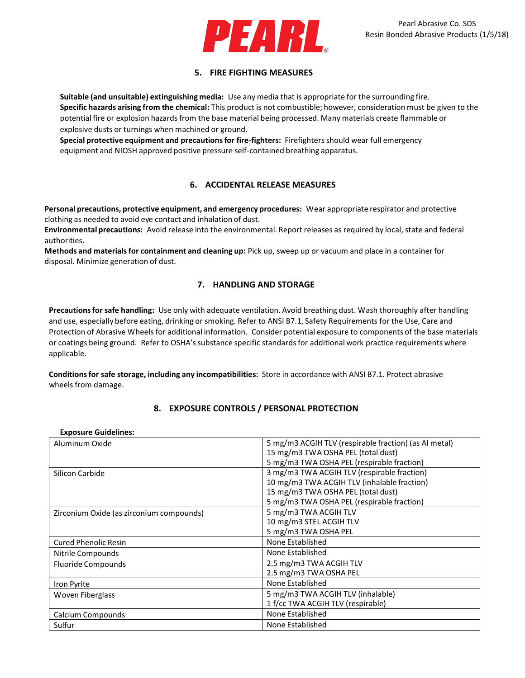

# **5. FIRE FIGHTING MEASURES**

**Suitable (and unsuitable) extinguishing media:** Use any media that is appropriate for the surrounding fire. **Specific hazards arising from the chemical:** This product is not combustible; however, consideration must be given to the potential fire or explosion hazards from the base material being processed. Many materials create flammable or explosive dusts or turnings when machined or ground.

**Special protective equipment and precautionsfor fire-fighters:** Firefightersshould wear full emergency equipment and NIOSH approved positive pressure self-contained breathing apparatus.

## **6. ACCIDENTAL RELEASE MEASURES**

**Personal precautions, protective equipment, and emergency procedures:** Wear appropriate respirator and protective clothing as needed to avoid eye contact and inhalation of dust.

**Environmental precautions:** Avoid release into the environmental. Report releases as required by local, state and federal authorities.

**Methods and materialsfor containment and cleaning up:** Pick up, sweep up or vacuum and place in a container for disposal. Minimize generation of dust.

# **7. HANDLING AND STORAGE**

**Precautionsfor safe handling:** Use only with adequate ventilation. Avoid breathing dust. Wash thoroughly after handling and use, especially before eating, drinking or smoking. Refer to ANSI B7.1, Safety Requirements for the Use, Care and Protection of Abrasive Wheels for additional information. Consider potential exposure to components of the base materials or coatings being ground. Refer to OSHA's substance specific standards for additional work practice requirements where applicable.

**Conditionsfor safe storage, including any incompatibilities:** Store in accordance with ANSI B7.1. Protect abrasive wheels from damage.

## **8. EXPOSURE CONTROLS / PERSONAL PROTECTION**

#### **Exposure Guidelines:**

| Aluminum Oxide                           | 5 mg/m3 ACGIH TLV (respirable fraction) (as Al metal) |
|------------------------------------------|-------------------------------------------------------|
|                                          | 15 mg/m3 TWA OSHA PEL (total dust)                    |
|                                          | 5 mg/m3 TWA OSHA PEL (respirable fraction)            |
| Silicon Carbide                          | 3 mg/m3 TWA ACGIH TLV (respirable fraction)           |
|                                          | 10 mg/m3 TWA ACGIH TLV (inhalable fraction)           |
|                                          | 15 mg/m3 TWA OSHA PEL (total dust)                    |
|                                          | 5 mg/m3 TWA OSHA PEL (respirable fraction)            |
| Zirconium Oxide (as zirconium compounds) | 5 mg/m3 TWA ACGIH TLV                                 |
|                                          | 10 mg/m3 STEL ACGIH TLV                               |
|                                          | 5 mg/m3 TWA OSHA PEL                                  |
| <b>Cured Phenolic Resin</b>              | None Established                                      |
| Nitrile Compounds                        | None Established                                      |
| <b>Fluoride Compounds</b>                | 2.5 mg/m3 TWA ACGIH TLV                               |
|                                          | 2.5 mg/m3 TWA OSHA PEL                                |
| Iron Pyrite                              | None Established                                      |
| Woven Fiberglass                         | 5 mg/m3 TWA ACGIH TLV (inhalable)                     |
|                                          | 1 f/cc TWA ACGIH TLV (respirable)                     |
| Calcium Compounds                        | None Established                                      |
| Sulfur                                   | None Established                                      |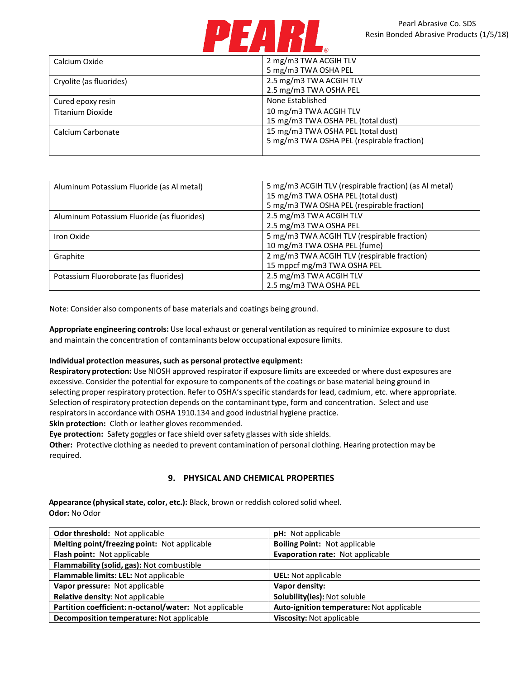

| Calcium Oxide           | 2 mg/m3 TWA ACGIH TLV                      |
|-------------------------|--------------------------------------------|
|                         | 5 mg/m3 TWA OSHA PEL                       |
| Cryolite (as fluorides) | 2.5 mg/m3 TWA ACGIH TLV                    |
|                         | 2.5 mg/m3 TWA OSHA PEL                     |
| Cured epoxy resin       | None Established                           |
| Titanium Dioxide        | 10 mg/m3 TWA ACGIH TLV                     |
|                         | 15 mg/m3 TWA OSHA PEL (total dust)         |
| Calcium Carbonate       | 15 mg/m3 TWA OSHA PEL (total dust)         |
|                         | 5 mg/m3 TWA OSHA PEL (respirable fraction) |
|                         |                                            |

| Aluminum Potassium Fluoride (as Al metal)  | 5 mg/m3 ACGIH TLV (respirable fraction) (as Al metal) |
|--------------------------------------------|-------------------------------------------------------|
|                                            | 15 mg/m3 TWA OSHA PEL (total dust)                    |
|                                            | 5 mg/m3 TWA OSHA PEL (respirable fraction)            |
| Aluminum Potassium Fluoride (as fluorides) | 2.5 mg/m3 TWA ACGIH TLV                               |
|                                            | 2.5 mg/m3 TWA OSHA PEL                                |
| Iron Oxide                                 | 5 mg/m3 TWA ACGIH TLV (respirable fraction)           |
|                                            | 10 mg/m3 TWA OSHA PEL (fume)                          |
| Graphite                                   | 2 mg/m3 TWA ACGIH TLV (respirable fraction)           |
|                                            | 15 mppcf mg/m3 TWA OSHA PEL                           |
| Potassium Fluoroborate (as fluorides)      | 2.5 mg/m3 TWA ACGIH TLV                               |
|                                            | 2.5 mg/m3 TWA OSHA PEL                                |

Note: Consider also components of base materials and coatings being ground.

**Appropriate engineering controls:** Use local exhaust or general ventilation as required to minimize exposure to dust and maintain the concentration of contaminants below occupational exposure limits.

#### **Individual protection measures,such as personal protective equipment:**

**Respiratory protection:** Use NIOSH approved respirator if exposure limits are exceeded or where dust exposures are excessive. Consider the potential for exposure to components of the coatings or base material being ground in selecting proper respiratory protection. Refer to OSHA's specific standards for lead, cadmium, etc. where appropriate. Selection of respiratory protection depends on the contaminant type, form and concentration. Select and use respirators in accordance with OSHA 1910.134 and good industrial hygiene practice.

**Skin protection:** Cloth or leather gloves recommended.

**Eye protection:** Safety goggles or face shield over safety glasses with side shields.

**Other:** Protective clothing as needed to prevent contamination of personal clothing. Hearing protection may be required.

## **9. PHYSICAL AND CHEMICAL PROPERTIES**

Appearance (physical state, color, etc.): Black, brown or reddish colored solid wheel. **Odor:** No Odor

| Odor threshold: Not applicable                         | <b>pH:</b> Not applicable                 |
|--------------------------------------------------------|-------------------------------------------|
| Melting point/freezing point: Not applicable           | <b>Boiling Point: Not applicable</b>      |
| Flash point: Not applicable                            | Evaporation rate: Not applicable          |
| Flammability (solid, gas): Not combustible             |                                           |
| Flammable limits: LEL: Not applicable                  | <b>UEL:</b> Not applicable                |
| Vapor pressure: Not applicable                         | Vapor density:                            |
| <b>Relative density: Not applicable</b>                | Solubility(ies): Not soluble              |
| Partition coefficient: n-octanol/water: Not applicable | Auto-ignition temperature: Not applicable |
| Decomposition temperature: Not applicable              | Viscosity: Not applicable                 |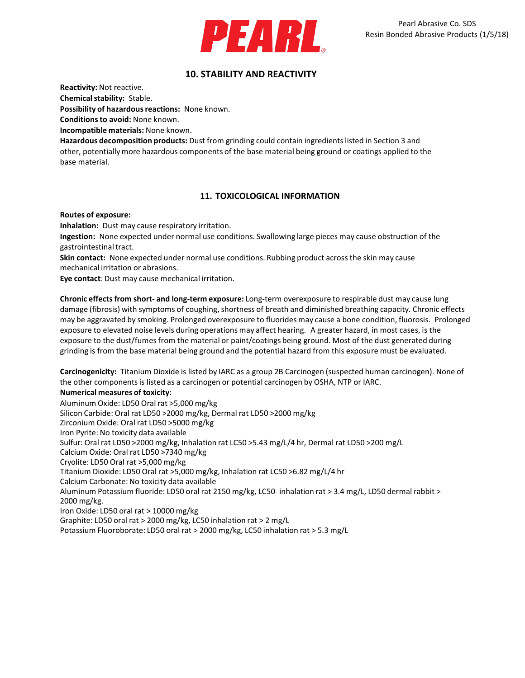

# **10. STABILITY AND REACTIVITY**

**Reactivity:** Not reactive.

**Chemical stability: Stable.** 

Possibility of hazardous reactions: None known.

**Conditionsto avoid:** None known.

**Incompatible materials:** None known.

**Hazardous decomposition products:** Dust from grinding could contain ingredientslisted in Section 3 and other, potentially more hazardous components of the base material being ground or coatings applied to the base material.

# **11. TOXICOLOGICAL INFORMATION**

**Routes of exposure:**

**Inhalation:** Dust may cause respiratory irritation.

**Ingestion:** None expected under normal use conditions. Swallowing large pieces may cause obstruction of the gastrointestinal tract.

**Skin contact:** None expected under normal use conditions. Rubbing product across the skin may cause mechanical irritation or abrasions.

**Eye contact**: Dust may cause mechanical irritation.

**Chronic effectsfrom short- and long-term exposure:** Long-term overexposure to respirable dust may cause lung damage (fibrosis) with symptoms of coughing, shortness of breath and diminished breathing capacity. Chronic effects may be aggravated by smoking. Prolonged overexposure to fluorides may cause a bone condition, fluorosis. Prolonged exposure to elevated noise levels during operations may affect hearing. A greater hazard, in most cases, is the exposure to the dust/fumesfrom the material or paint/coatings being ground. Most of the dust generated during grinding is from the base material being ground and the potential hazard from this exposure must be evaluated.

**Carcinogenicity:** Titanium Dioxide is listed by IARC as a group 2B Carcinogen (suspected human carcinogen). None of the other componentsis listed as a carcinogen or potential carcinogen by OSHA, NTP or IARC.

#### **Numerical measures of toxicity**:

Aluminum Oxide: LD50 Oral rat >5,000 mg/kg Silicon Carbide: Oral rat LD50 >2000 mg/kg, Dermal rat LD50 >2000 mg/kg Zirconium Oxide: Oral rat LD50 >5000 mg/kg Iron Pyrite: No toxicity data available Sulfur: Oral rat LD50 >2000 mg/kg, Inhalation rat LC50 >5.43 mg/L/4 hr, Dermal rat LD50 >200 mg/L Calcium Oxide: Oral rat LD50 >7340 mg/kg Cryolite: LD50 Oral rat >5,000 mg/kg Titanium Dioxide: LD50 Oral rat >5,000 mg/kg, Inhalation rat LC50 >6.82 mg/L/4 hr Calcium Carbonate: No toxicity data available Aluminum Potassium fluoride: LD50 oral rat 2150 mg/kg, LC50 inhalation rat > 3.4 mg/L, LD50 dermal rabbit > 2000 mg/kg. Iron Oxide: LD50 oral rat > 10000 mg/kg Graphite: LD50 oral rat > 2000 mg/kg, LC50 inhalation rat > 2 mg/L Potassium Fluoroborate: LD50 oral rat > 2000 mg/kg, LC50 inhalation rat > 5.3 mg/L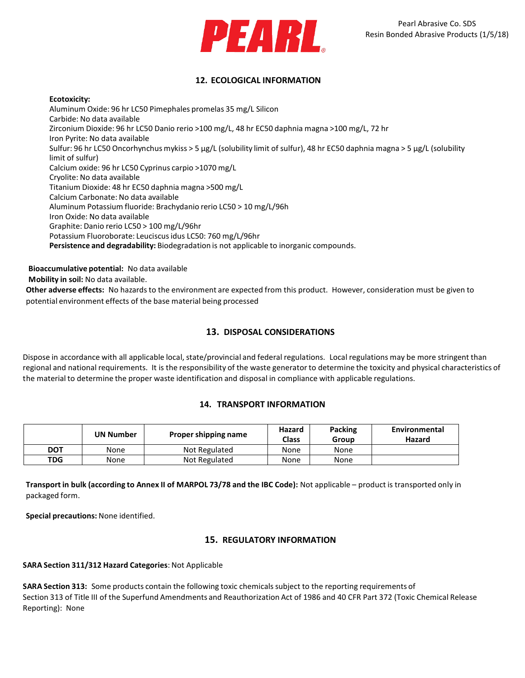

# **12. ECOLOGICAL INFORMATION**

#### **Ecotoxicity:**

Aluminum Oxide: 96 hr LC50 Pimephales promelas 35 mg/L Silicon Carbide: No data available Zirconium Dioxide: 96 hr LC50 Danio rerio >100 mg/L, 48 hr EC50 daphnia magna >100 mg/L, 72 hr Iron Pyrite: No data available Sulfur: 96 hr LC50 Oncorhynchus mykiss > 5 µg/L (solubility limit of sulfur), 48 hr EC50 daphnia magna > 5 µg/L (solubility limit of sulfur) Calcium oxide: 96 hr LC50 Cyprinus carpio >1070 mg/L Cryolite: No data available Titanium Dioxide: 48 hr EC50 daphnia magna >500 mg/L Calcium Carbonate: No data available Aluminum Potassium fluoride: Brachydanio rerio LC50 > 10 mg/L/96h Iron Oxide: No data available Graphite: Danio rerio LC50 > 100 mg/L/96hr Potassium Fluoroborate: Leuciscusidus LC50: 760 mg/L/96hr **Persistence and degradability:** Biodegradation is not applicable to inorganic compounds.

**Bioaccumulative potential:** No data available

**Mobility in soil:** No data available.

**Other adverse effects:** No hazardsto the environment are expected from this product. However, consideration must be given to potential environment effects of the base material being processed

## **13. DISPOSAL CONSIDERATIONS**

Dispose in accordance with all applicable local, state/provincial and federal regulations. Local regulations may be more stringent than regional and national requirements. It is the responsibility of the waste generator to determine the toxicity and physical characteristics of the material to determine the proper waste identification and disposal in compliance with applicable regulations.

## **14. TRANSPORT INFORMATION**

|            | UN Number | Proper shipping name | Hazard<br>Class | <b>Packing</b><br>Group | Environmental<br>Hazard |
|------------|-----------|----------------------|-----------------|-------------------------|-------------------------|
| <b>DOT</b> | None      | Not Regulated        | None            | None                    |                         |
| <b>TDG</b> | None      | Not Regulated        | None            | None                    |                         |

**Transport in bulk (according to Annex II of MARPOL 73/78 and the IBC Code):** Not applicable – product is transported only in packaged form.

**Special precautions:** None identified.

## **15. REGULATORY INFORMATION**

#### **SARA Section 311/312 Hazard Categories**: Not Applicable

**SARA Section 313:** Some products contain the following toxic chemicals subject to the reporting requirements of Section 313 of Title III of the Superfund Amendments and Reauthorization Act of 1986 and 40 CFR Part 372 (Toxic Chemical Release Reporting): None